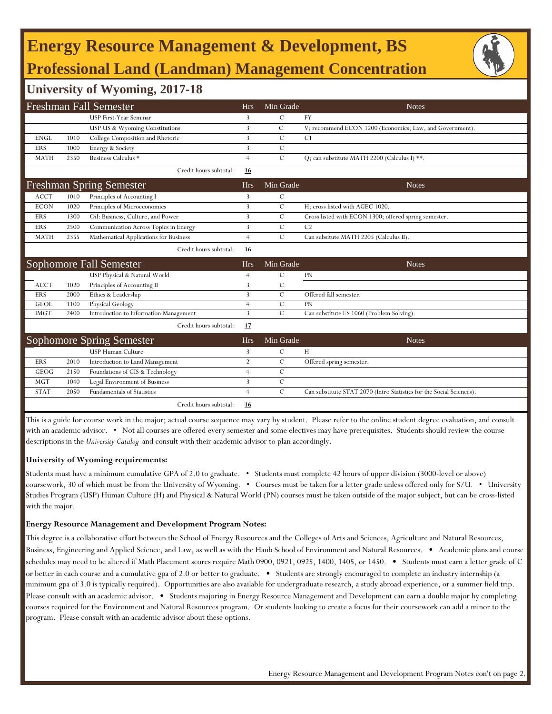# **Energy Resource Management & Development, BS Professional Land (Landman) Management Concentration**

### **University of Wyoming, 2017-18**

| <b>Freshman Fall Semester</b> |      |                                        | <b>Hrs</b>     | Min Grade     | <b>Notes</b>                                                         |
|-------------------------------|------|----------------------------------------|----------------|---------------|----------------------------------------------------------------------|
|                               |      | <b>USP First-Year Seminar</b>          | 3              | $\mathcal{C}$ | <b>FY</b>                                                            |
|                               |      | USP US & Wyoming Constitutions         | 3              | $\mathcal{C}$ | V; recommend ECON 1200 (Economics, Law, and Government).             |
| <b>ENGL</b>                   | 1010 | College Composition and Rhetoric       | 3              | $\mathcal{C}$ | C1                                                                   |
| <b>ERS</b>                    | 1000 | Energy & Society                       | 3              | $\mathcal{C}$ |                                                                      |
| <b>MATH</b>                   | 2350 | Business Calculus *                    | $\overline{4}$ | $\mathbf C$   | O; can substitute MATH 2200 (Calculus I) **.                         |
|                               |      | Credit hours subtotal:                 | 16             |               |                                                                      |
|                               |      | <b>Freshman Spring Semester</b>        | <b>Hrs</b>     | Min Grade     | <b>Notes</b>                                                         |
| <b>ACCT</b>                   | 1010 | Principles of Accounting I             | 3              | $\mathcal{C}$ |                                                                      |
| <b>ECON</b>                   | 1020 | Principles of Microeconomics           | 3              | $\mathcal{C}$ | H: cross listed with AGEC 1020.                                      |
| <b>ERS</b>                    | 1300 | Oil: Business, Culture, and Power      | 3              | $\mathcal{C}$ | Cross listed with ECON 1300; offered spring semester.                |
| <b>ERS</b>                    | 2500 | Communication Across Topics in Energy  | 3              | $\mathcal{C}$ | C <sub>2</sub>                                                       |
| <b>MATH</b>                   | 2355 | Mathematical Applications for Business | $\overline{4}$ | $\mathcal{C}$ | Can subsitute MATH 2205 (Calculus II).                               |
|                               |      | Credit hours subtotal:                 | 16             |               |                                                                      |
|                               |      | Sophomore Fall Semester                | <b>Hrs</b>     | Min Grade     | <b>Notes</b>                                                         |
|                               |      | USP Physical & Natural World           | 4              | C             | PN                                                                   |
|                               |      |                                        |                |               |                                                                      |
| <b>ACCT</b>                   | 1020 | Principles of Accounting II            | 3              | C             |                                                                      |
| <b>ERS</b>                    | 2000 | Ethics & Leadership                    | 3              | $\mathcal{C}$ | Offered fall semester.                                               |
| <b>GEOL</b>                   | 1100 | Physical Geology                       | $\overline{4}$ | $\mathcal{C}$ | <b>PN</b>                                                            |
| <b>IMGT</b>                   | 2400 | Introduction to Information Management | 3              | $\mathcal{C}$ | Can substitute ES 1060 (Problem Solving).                            |
|                               |      | Credit hours subtotal:                 | 17             |               |                                                                      |
|                               |      | <b>Sophomore Spring Semester</b>       | <b>Hrs</b>     | Min Grade     | <b>Notes</b>                                                         |
|                               |      | <b>USP Human Culture</b>               | 3              | $\mathcal{C}$ | H                                                                    |
| ERS                           | 2010 | Introduction to Land Management        | $\overline{2}$ | $\mathbf C$   | Offered spring semester.                                             |
| <b>GEOG</b>                   | 2150 | Foundations of GIS & Technology        | 4              | C             |                                                                      |
| <b>MGT</b>                    | 1040 | Legal Environment of Business          | $\overline{3}$ | $\mathcal{C}$ |                                                                      |
| <b>STAT</b>                   | 2050 | <b>Fundamentals of Statistics</b>      | $\overline{4}$ | $\mathcal{C}$ | Can substitute STAT 2070 (Intro Statistics for the Social Sciences). |

This is a guide for course work in the major; actual course sequence may vary by student. Please refer to the online student degree evaluation, and consult with an academic advisor. • Not all courses are offered every semester and some electives may have prerequisites. Students should review the course descriptions in the *University Catalog* and consult with their academic advisor to plan accordingly.

#### **University of Wyoming requirements:**

Students must have a minimum cumulative GPA of 2.0 to graduate. • Students must complete 42 hours of upper division (3000-level or above) coursework, 30 of which must be from the University of Wyoming. • Courses must be taken for a letter grade unless offered only for S/U. • University Studies Program (USP) Human Culture (H) and Physical & Natural World (PN) courses must be taken outside of the major subject, but can be cross-listed with the major.

#### **Energy Resource Management and Development Program Notes:**

This degree is a collaborative effort between the School of Energy Resources and the Colleges of Arts and Sciences, Agriculture and Natural Resources, Business, Engineering and Applied Science, and Law, as well as with the Haub School of Environment and Natural Resources. • Academic plans and course schedules may need to be altered if Math Placement scores require Math 0900, 0921, 0925, 1400, 1405, or 1450. • Students must earn a letter grade of C or better in each course and a cumulative gpa of 2.0 or better to graduate. • Students are strongly encouraged to complete an industry internship (a minimum gpa of 3.0 is typically required). Opportunities are also available for undergraduate research, a study abroad experience, or a summer field trip. Please consult with an academic advisor. • Students majoring in Energy Resource Management and Development can earn a double major by completing courses required for the Environment and Natural Resources program. Or students looking to create a focus for their coursework can add a minor to the program. Please consult with an academic advisor about these options.